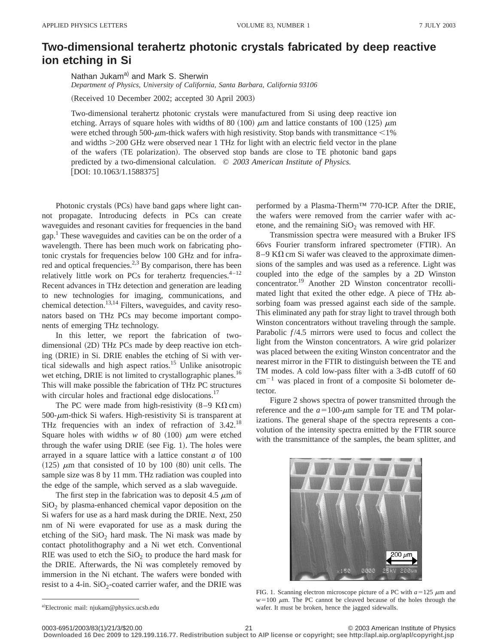## **Two-dimensional terahertz photonic crystals fabricated by deep reactive ion etching in Si**

Nathan Jukam<sup>a)</sup> and Mark S. Sherwin *Department of Physics, University of California, Santa Barbara, California 93106*

(Received 10 December 2002; accepted 30 April 2003)

Two-dimensional terahertz photonic crystals were manufactured from Si using deep reactive ion etching. Arrays of square holes with widths of 80 (100)  $\mu$ m and lattice constants of 100 (125)  $\mu$ m were etched through 500- $\mu$ m-thick wafers with high resistivity. Stop bands with transmittance <1% and widths  $>$ 200 GHz were observed near 1 THz for light with an electric field vector in the plane of the wafers (TE polarization). The observed stop bands are close to TE photonic band gaps predicted by a two-dimensional calculation. © *2003 American Institute of Physics.*  $[DOI: 10.1063/1.1588375]$ 

Photonic crystals (PCs) have band gaps where light cannot propagate. Introducing defects in PCs can create waveguides and resonant cavities for frequencies in the band gap.<sup>1</sup> These waveguides and cavities can be on the order of a wavelength. There has been much work on fabricating photonic crystals for frequencies below 100 GHz and for infrared and optical frequencies.<sup>2,3</sup> By comparison, there has been relatively little work on PCs for terahertz frequencies. $4-12$ Recent advances in THz detection and generation are leading to new technologies for imaging, communications, and chemical detection.<sup>13,14</sup> Filters, waveguides, and cavity resonators based on THz PCs may become important components of emerging THz technology.

In this letter, we report the fabrication of twodimensional  $(2D)$  THz PCs made by deep reactive ion etching (DRIE) in Si. DRIE enables the etching of Si with vertical sidewalls and high aspect ratios.15 Unlike anisotropic wet etching, DRIE is not limited to crystallographic planes.<sup>16</sup> This will make possible the fabrication of THz PC structures with circular holes and fractional edge dislocations.<sup>17</sup>

The PC were made from high-resistivity  $(8-9 \text{ K}\Omega \text{ cm})$  $500$ - $\mu$ m-thick Si wafers. High-resistivity Si is transparent at THz frequencies with an index of refraction of 3.42.<sup>18</sup> Square holes with widths  $w$  of 80  $(100)$   $\mu$ m were etched through the wafer using DRIE (see Fig. 1). The holes were arrayed in a square lattice with a lattice constant *a* of 100  $(125)$   $\mu$ m that consisted of 10 by 100  $(80)$  unit cells. The sample size was 8 by 11 mm. THz radiation was coupled into the edge of the sample, which served as a slab waveguide.

The first step in the fabrication was to deposit 4.5  $\mu$ m of  $SiO<sub>2</sub>$  by plasma-enhanced chemical vapor deposition on the Si wafers for use as a hard mask during the DRIE. Next, 250 nm of Ni were evaporated for use as a mask during the etching of the  $SiO<sub>2</sub>$  hard mask. The Ni mask was made by contact photolithography and a Ni wet etch. Conventional RIE was used to etch the  $SiO<sub>2</sub>$  to produce the hard mask for the DRIE. Afterwards, the Ni was completely removed by immersion in the Ni etchant. The wafers were bonded with resist to a 4-in.  $SiO_2$ -coated carrier wafer, and the DRIE was performed by a Plasma-Therm™ 770-ICP. After the DRIE, the wafers were removed from the carrier wafer with acetone, and the remaining  $SiO<sub>2</sub>$  was removed with HF.

Transmission spectra were measured with a Bruker IFS 66vs Fourier transform infrared spectrometer (FTIR). An 8–9 K $\Omega$  cm Si wafer was cleaved to the approximate dimensions of the samples and was used as a reference. Light was coupled into the edge of the samples by a 2D Winston concentrator.<sup>19</sup> Another 2D Winston concentrator recollimated light that exited the other edge. A piece of THz absorbing foam was pressed against each side of the sample. This eliminated any path for stray light to travel through both Winston concentrators without traveling through the sample. Parabolic  $f/4.5$  mirrors were used to focus and collect the light from the Winston concentrators. A wire grid polarizer was placed between the exiting Winston concentrator and the nearest mirror in the FTIR to distinguish between the TE and TM modes. A cold low-pass filter with a 3-dB cutoff of 60  $cm^{-1}$  was placed in front of a composite Si bolometer detector.

Figure 2 shows spectra of power transmitted through the reference and the  $a=100$ - $\mu$ m sample for TE and TM polarizations. The general shape of the spectra represents a convolution of the intensity spectra emitted by the FTIR source with the transmittance of the samples, the beam splitter, and



FIG. 1. Scanning electron microscope picture of a PC with  $a=125 \mu m$  and  $w=100 \mu$ m. The PC cannot be cleaved because of the holes through the wafer. It must be broken, hence the jagged sidewalls.

**Downloaded 16 Dec 2009 to 129.199.116.77. Redistribution subject to AIP license or copyright; see http://apl.aip.org/apl/copyright.jsp**

a)Electronic mail: njukam@physics.ucsb.edu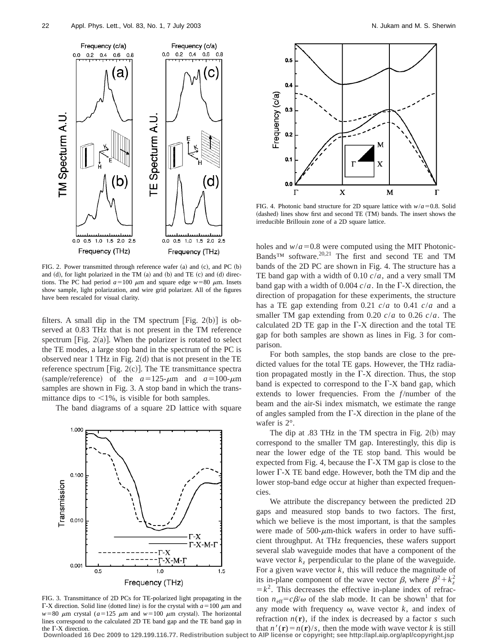

FIG. 2. Power transmitted through reference wafer  $(a)$  and  $(c)$ , and PC  $(b)$ and  $(d)$ , for light polarized in the TM  $(a)$  and  $(b)$  and TE  $(c)$  and  $(d)$  directions. The PC had period  $a=100 \mu m$  and square edge  $w=80 \mu m$ . Insets show sample, light polarization, and wire grid polarizer. All of the figures have been rescaled for visual clarity.

filters. A small dip in the TM spectrum [Fig. 2(b)] is observed at 0.83 THz that is not present in the TM reference spectrum [Fig.  $2(a)$ ]. When the polarizer is rotated to select the TE modes, a large stop band in the spectrum of the PC is observed near 1 THz in Fig.  $2(d)$  that is not present in the TE reference spectrum [Fig.  $2(c)$ ]. The TE transmittance spectra (sample/reference) of the  $a=125-\mu m$  and  $a=100-\mu m$ samples are shown in Fig. 3. A stop band in which the transmittance dips to  $\leq 1\%$ , is visible for both samples.

The band diagrams of a square 2D lattice with square



FIG. 3. Transmittance of 2D PCs for TE-polarized light propagating in the F-X direction. Solid line (dotted line) is for the crystal with  $a=100 \mu m$  and  $w=80$   $\mu$ m crystal ( $a=125$   $\mu$ m and  $w=100$   $\mu$ m crystal). The horizontal lines correspond to the calculated 2D TE band gap and the TE band gap in the  $\Gamma$ -X direction.



FIG. 4. Photonic band structure for 2D square lattice with  $w/a = 0.8$ . Solid (dashed) lines show first and second TE (TM) bands. The insert shows the irreducible Brillouin zone of a 2D square lattice.

holes and  $w/a = 0.8$  were computed using the MIT Photonic-Bands<sup>™</sup> software.<sup>20,21</sup> The first and second TE and TM bands of the 2D PC are shown in Fig. 4. The structure has a TE band gap with a width of 0.10 *c*/*a*, and a very small TM band gap with a width of 0.004  $c/a$ . In the  $\Gamma$ -X direction, the direction of propagation for these experiments, the structure has a TE gap extending from 0.21 *c*/*a* to 0.41 *c*/*a* and a smaller TM gap extending from 0.20 *c*/*a* to 0.26 *c*/*a*. The calculated 2D TE gap in the  $\Gamma$ -X direction and the total TE gap for both samples are shown as lines in Fig. 3 for comparison.

For both samples, the stop bands are close to the predicted values for the total TE gaps. However, the THz radiation propagated mostly in the  $\Gamma$ -X direction. Thus, the stop band is expected to correspond to the  $\Gamma$ -X band gap, which extends to lower frequencies. From the *f*/number of the beam and the air-Si index mismatch, we estimate the range of angles sampled from the  $\Gamma$ -X direction in the plane of the wafer is 2°.

The dip at  $.83$  THz in the TM spectra in Fig. 2(b) may correspond to the smaller TM gap. Interestingly, this dip is near the lower edge of the TE stop band. This would be expected from Fig. 4, because the  $\Gamma$ -X TM gap is close to the lower  $\Gamma$ -X TE band edge. However, both the TM dip and the lower stop-band edge occur at higher than expected frequencies.

We attribute the discrepancy between the predicted 2D gaps and measured stop bands to two factors. The first, which we believe is the most important, is that the samples were made of  $500$ - $\mu$ m-thick wafers in order to have sufficient throughput. At THz frequencies, these wafers support several slab waveguide modes that have a component of the wave vector  $k_z$  perpendicular to the plane of the waveguide. For a given wave vector *k*, this will reduce the magnitude of its in-plane component of the wave vector  $\beta$ , where  $\beta^2 + k_z^2$  $=k<sup>2</sup>$ . This decreases the effective in-plane index of refraction  $n_{\text{eff}}=c\beta/\omega$  of the slab mode. It can be shown<sup>1</sup> that for any mode with frequency  $\omega$ , wave vector  $k$ , and index of refraction  $n(r)$ , if the index is decreased by a factor *s* such that  $n'(\mathbf{r}) = n(\mathbf{r})/s$ , then the mode with wave vector *k* is still

**Downloaded 16 Dec 2009 to 129.199.116.77. Redistribution subject to AIP license or copyright; see http://apl.aip.org/apl/copyright.jsp**